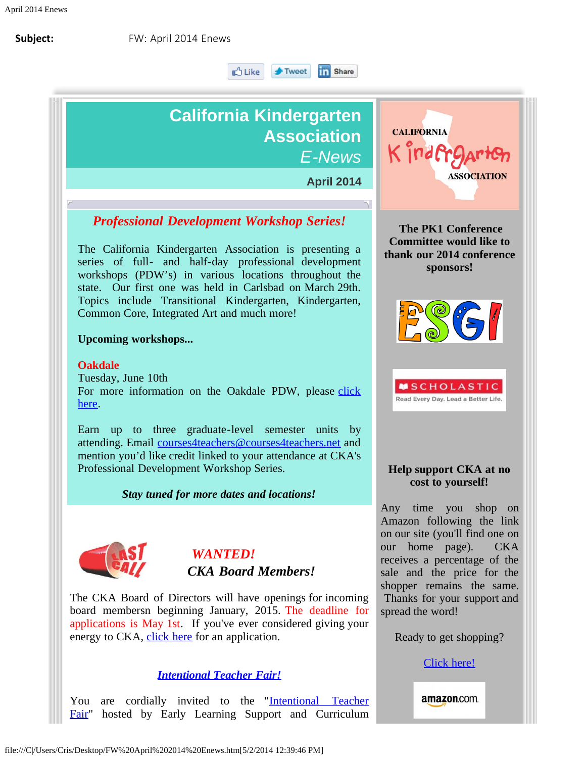∎∆ Like i **F** Tweet

#### **In** Share

# **California Kindergarten Association** *E-News*

**April 2014**

# *Professional Development Workshop Series!*

The California Kindergarten Association is presenting a series of full- and half-day professional development workshops (PDW's) in various locations throughout the state. Our first one was held in Carlsbad on March 29th. Topics include Transitional Kindergarten, Kindergarten, Common Core, Integrated Art and much more!

### **Upcoming workshops...**

### **Oakdale**

Tuesday, June 10th For more information on the Oakdale PDW, please [click](http://cts.vresp.com/c/?CaliforniaKindergart/e5612db94f/557f157494/655abfd0a5) [here](http://cts.vresp.com/c/?CaliforniaKindergart/e5612db94f/557f157494/655abfd0a5).

Earn up to three graduate-level semester units by attending. Email [courses4teachers@courses4teachers.net](mailto:courses4teachers@courses4teachers.net?subject=CKA%27s%20TK%20Summer%20Institute) and mention you'd like credit linked to your attendance at CKA's Professional Development Workshop Series.

## *Stay tuned for more dates and locations!*



# *WANTED! CKA Board Members!*

The CKA Board of Directors will have openings for incoming board membersn beginning January, 2015. The deadline for applications is May 1st. If you've ever considered giving your energy to CKA, [click here](http://cts.vresp.com/c/?CaliforniaKindergart/e5612db94f/557f157494/740fdcf223) for an application.

# *[Intentional Teacher Fair!](http://cts.vresp.com/c/?CaliforniaKindergart/e5612db94f/557f157494/ee16bc2f53)*

You are cordially invited to the "[Intentional Teacher](http://cts.vresp.com/c/?CaliforniaKindergart/e5612db94f/557f157494/a0d9fc802d) [Fair"](http://cts.vresp.com/c/?CaliforniaKindergart/e5612db94f/557f157494/a0d9fc802d) hosted by Early Learning Support and Curriculum



**The PK1 Conference Committee would like to thank our 2014 conference sponsors!**





## **Help support CKA at no cost to yourself!**

Any time you shop on Amazon following the link on our site (you'll find one on our home page). CKA receives a percentage of the sale and the price for the shopper remains the same. Thanks for your support and spread the word!

Ready to get shopping?

[Click here!](http://cts.vresp.com/c/?CaliforniaKindergart/e5612db94f/557f157494/316aa9188e/ie=UTF8&ref_=gno_logo&_encoding=UTF8&tag=califorkinder-20&linkCode=ur2&camp=1789&creative=390957)

amazon.com.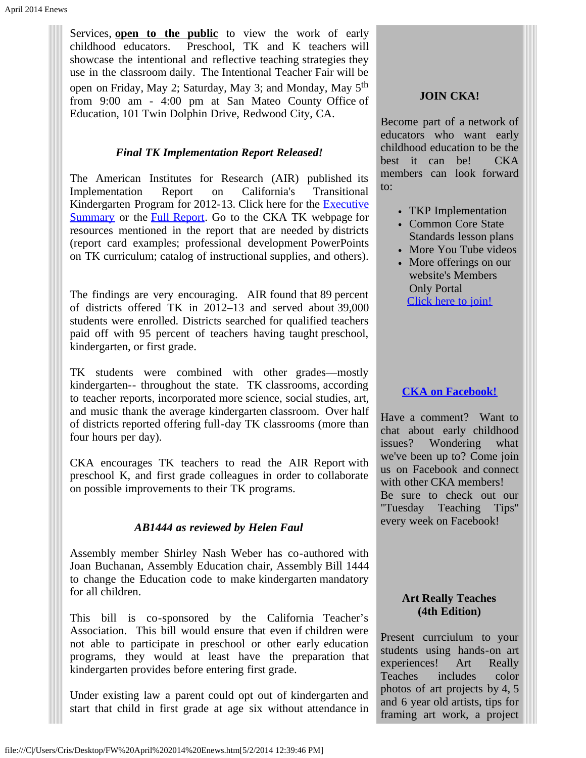Services, **open to the public** to view the work of early childhood educators. Preschool, TK and K teachers will showcase the intentional and reflective teaching strategies they use in the classroom daily. The Intentional Teacher Fair will be open on Friday, May 2; Saturday, May 3; and Monday, May 5th from 9:00 am - 4:00 pm at San Mateo County Office of Education, 101 Twin Dolphin Drive, Redwood City, CA.

# *Final TK Implementation Report Released!*

The American Institutes for Research (AIR) published its Implementation Report on California's Transitional Kindergarten Program for 2012-13. Click here for the **[Executive](http://cts.vresp.com/c/?CaliforniaKindergart/e5612db94f/557f157494/11b8fd47ef)** [Summary](http://cts.vresp.com/c/?CaliforniaKindergart/e5612db94f/557f157494/11b8fd47ef) or the [Full Report](http://cts.vresp.com/c/?CaliforniaKindergart/e5612db94f/557f157494/29864d4895). Go to the CKA TK webpage for resources mentioned in the report that are needed by districts (report card examples; professional development PowerPoints on TK curriculum; catalog of instructional supplies, and others).

The findings are very encouraging. AIR found that 89 percent of districts offered TK in 2012–13 and served about 39,000 students were enrolled. Districts searched for qualified teachers paid off with 95 percent of teachers having taught preschool, kindergarten, or first grade.

TK students were combined with other grades—mostly kindergarten-- throughout the state. TK classrooms, according to teacher reports, incorporated more science, social studies, art, and music thank the average kindergarten classroom. Over half of districts reported offering full-day TK classrooms (more than four hours per day).

CKA encourages TK teachers to read the AIR Report with preschool K, and first grade colleagues in order to collaborate on possible improvements to their TK programs.

# *AB1444 as reviewed by Helen Faul*

Assembly member Shirley Nash Weber has co-authored with Joan Buchanan, Assembly Education chair, Assembly Bill 1444 to change the Education code to make kindergarten mandatory for all children.

This bill is co-sponsored by the California Teacher's Association. This bill would ensure that even if children were not able to participate in preschool or other early education programs, they would at least have the preparation that kindergarten provides before entering first grade.

Under existing law a parent could opt out of kindergarten and start that child in first grade at age six without attendance in

#### **JOIN CKA!**

Become part of a network of educators who want early childhood education to be the best it can be! CKA members can look forward to:

- TKP Implementation
- Common Core State Standards lesson plans
- More You Tube videos
- More offerings on our website's Members Only Portal [Click here to join!](http://cts.vresp.com/c/?CaliforniaKindergart/e5612db94f/557f157494/ad02ab7f80)

### **[CKA on Facebook!](http://cts.vresp.com/c/?CaliforniaKindergart/e5612db94f/557f157494/ac265e1ea6)**

Have a comment? Want to chat about early childhood issues? Wondering what we've been up to? Come join us on Facebook and connect with other CKA members! Be sure to check out our "Tuesday Teaching Tips" every week on Facebook!

#### **Art Really Teaches (4th Edition)**

Present currciulum to your students using hands-on art experiences! Art Really Teaches includes color photos of art projects by 4, 5 and 6 year old artists, tips for framing art work, a project